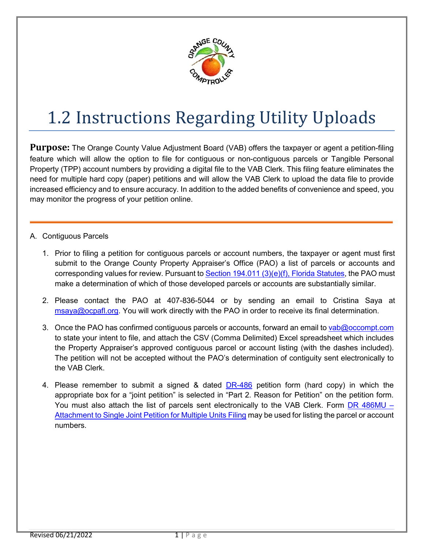

## 1.2 Instructions Regarding Utility Uploads

**Purpose:** The Orange County Value Adjustment Board (VAB) offers the taxpayer or agent a petition-filing feature which will allow the option to file for contiguous or non-contiguous parcels or Tangible Personal Property (TPP) account numbers by providing a digital file to the VAB Clerk. This filing feature eliminates the need for multiple hard copy (paper) petitions and will allow the VAB Clerk to upload the data file to provide increased efficiency and to ensure accuracy. In addition to the added benefits of convenience and speed, you may monitor the progress of your petition online.

- A. Contiguous Parcels
	- 1. Prior to filing a petition for contiguous parcels or account numbers, the taxpayer or agent must first submit to the Orange County Property Appraiser's Office (PAO) a list of parcels or accounts and corresponding values for review. Pursuant t[o Section 194.011 \(3\)\(e\)\(f\), Florida Statutes,](http://www.leg.state.fl.us/statutes/index.cfm?App_mode=Display_Statute&URL=0100-0199/0194/Sections/0194.011.html) the PAO must make a determination of which of those developed parcels or accounts are substantially similar.
	- 2. Please contact the PAO at 407-836-5044 or by sending an email to Cristina Saya at [msaya@ocpafl.org.](mailto:rgrimaldi@ocpafl.org) You will work directly with the PAO in order to receive its final determination.
	- 3. Once the PAO has confirmed contiguous parcels or accounts, forward an email t[o vab@occompt.com](mailto:vab@occompt.com) to state your intent to file, and attach the CSV (Comma Delimited) Excel spreadsheet which includes the Property Appraiser's approved contiguous parcel or account listing (with the dashes included). The petition will not be accepted without the PAO's determination of contiguity sent electronically to the VAB Clerk.
	- 4. Please remember to submit a signed & dated **[DR-486](http://floridarevenue.com/property/Documents/dr486.pdf)** petition form (hard copy) in which the appropriate box for a "joint petition" is selected in "Part 2. Reason for Petition" on the petition form. You must also attach the list of parcels sent electronically to the VAB Clerk. Form [DR 486MU –](http://floridarevenue.com/property/Documents/dr486mu.pdf) [Attachment to Single Joint Petition for Multiple Units Filing](http://floridarevenue.com/property/Documents/dr486mu.pdf) may be used for listing the parcel or account numbers.